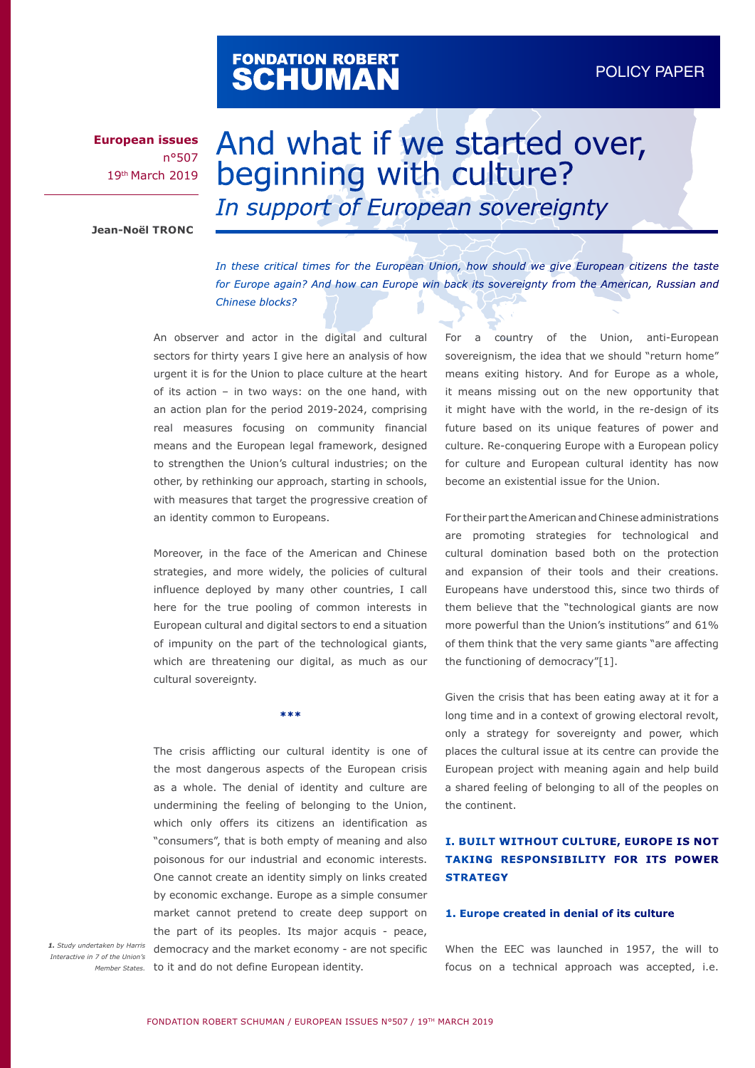# FONDATION ROBERT<br>**SCHUMAN**

**European issues** n°507 19th March 2019

# And what if we started over, beginning with culture? *In support of European sovereignty*

**Jean-Noël TRONC**

*In these critical times for the European Union, how should we give European citizens the taste*  for Europe again? And how can Europe win back its sovereignty from the American, Russian and *Chinese blocks?* 

An observer and actor in the digital and cultural sectors for thirty years I give here an analysis of how urgent it is for the Union to place culture at the heart of its action – in two ways: on the one hand, with an action plan for the period 2019-2024, comprising real measures focusing on community financial means and the European legal framework, designed to strengthen the Union's cultural industries; on the other, by rethinking our approach, starting in schools, with measures that target the progressive creation of an identity common to Europeans.

Moreover, in the face of the American and Chinese strategies, and more widely, the policies of cultural influence deployed by many other countries, I call here for the true pooling of common interests in European cultural and digital sectors to end a situation of impunity on the part of the technological giants, which are threatening our digital, as much as our cultural sovereignty.

**\*\*\***

The crisis afflicting our cultural identity is one of the most dangerous aspects of the European crisis as a whole. The denial of identity and culture are undermining the feeling of belonging to the Union, which only offers its citizens an identification as "consumers", that is both empty of meaning and also poisonous for our industrial and economic interests. One cannot create an identity simply on links created by economic exchange. Europe as a simple consumer market cannot pretend to create deep support on the part of its peoples. Its major acquis - peace, 1. Study undertaken by Harris democracy and the market economy - are not specific Member States. to it and do not define European identity.

*Interactive in 7 of the Union's* 

For a country of the Union, anti-European sovereignism, the idea that we should "return home" means exiting history. And for Europe as a whole, it means missing out on the new opportunity that it might have with the world, in the re-design of its future based on its unique features of power and culture. Re-conquering Europe with a European policy for culture and European cultural identity has now become an existential issue for the Union.

For their part the American and Chinese administrations are promoting strategies for technological and cultural domination based both on the protection and expansion of their tools and their creations. Europeans have understood this, since two thirds of them believe that the "technological giants are now more powerful than the Union's institutions" and 61% of them think that the very same giants "are affecting the functioning of democracy"[1].

Given the crisis that has been eating away at it for a long time and in a context of growing electoral revolt, only a strategy for sovereignty and power, which places the cultural issue at its centre can provide the European project with meaning again and help build a shared feeling of belonging to all of the peoples on the continent.

# **I. BUILT WITHOUT CULTURE, EUROPE IS NOT TAKING RESPONSIBILITY FOR ITS POWER STRATEGY**

#### **1. Europe created in denial of its culture**

When the EEC was launched in 1957, the will to focus on a technical approach was accepted, i.e.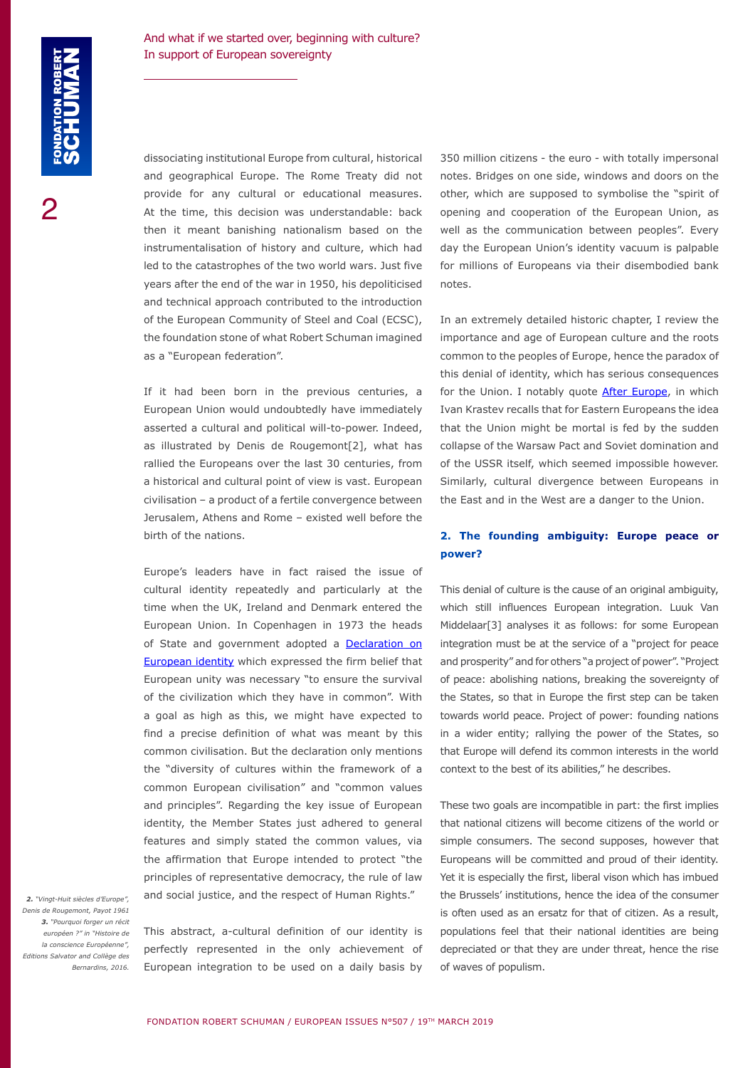dissociating institutional Europe from cultural, historical and geographical Europe. The Rome Treaty did not provide for any cultural or educational measures. At the time, this decision was understandable: back then it meant banishing nationalism based on the instrumentalisation of history and culture, which had led to the catastrophes of the two world wars. Just five years after the end of the war in 1950, his depoliticised and technical approach contributed to the introduction of the European Community of Steel and Coal (ECSC), the foundation stone of what Robert Schuman imagined as a "European federation".

If it had been born in the previous centuries, a European Union would undoubtedly have immediately asserted a cultural and political will-to-power. Indeed, as illustrated by Denis de Rougemont[2], what has rallied the Europeans over the last 30 centuries, from a historical and cultural point of view is vast. European civilisation – a product of a fertile convergence between Jerusalem, Athens and Rome – existed well before the birth of the nations.

Europe's leaders have in fact raised the issue of cultural identity repeatedly and particularly at the time when the UK, Ireland and Denmark entered the European Union. In Copenhagen in 1973 the heads of State and government adopted a [Declaration on](https://www.cvce.eu/obj/declaration_sur_l_identite_europeenne_copenhague_https:/www.cvce.eu/obj/declaration_on_european_identity_copenhagen_14_december_1973-en-02798dc9-9c69-4b7d-b2c9-f03a8db7da32.html) [European identity](https://www.cvce.eu/obj/declaration_sur_l_identite_europeenne_copenhague_https:/www.cvce.eu/obj/declaration_on_european_identity_copenhagen_14_december_1973-en-02798dc9-9c69-4b7d-b2c9-f03a8db7da32.html) which expressed the firm belief that European unity was necessary "to ensure the survival of the civilization which they have in common". With a goal as high as this, we might have expected to find a precise definition of what was meant by this common civilisation. But the declaration only mentions the "diversity of cultures within the framework of a common European civilisation" and "common values and principles". Regarding the key issue of European identity, the Member States just adhered to general features and simply stated the common values, via the affirmation that Europe intended to protect "the principles of representative democracy, the rule of law and social justice, and the respect of Human Rights."

*2. "Vingt-Huit siècles d'Europe", Denis de Rougemont, Payot 1961 3. "Pourquoi forger un récit européen ?" in "Histoire de la conscience Européenne", Editions Salvator and Collège des Bernardins, 2016.*

This abstract, a-cultural definition of our identity is perfectly represented in the only achievement of European integration to be used on a daily basis by 350 million citizens - the euro - with totally impersonal notes. Bridges on one side, windows and doors on the other, which are supposed to symbolise the "spirit of opening and cooperation of the European Union, as well as the communication between peoples". Every day the European Union's identity vacuum is palpable for millions of Europeans via their disembodied bank notes.

In an extremely detailed historic chapter, I review the importance and age of European culture and the roots common to the peoples of Europe, hence the paradox of this denial of identity, which has serious consequences for the Union. I notably quote **[After Europe](http://www.upenn.edu/pennpress/book/15679.html)**, in which Ivan Krastev recalls that for Eastern Europeans the idea that the Union might be mortal is fed by the sudden collapse of the Warsaw Pact and Soviet domination and of the USSR itself, which seemed impossible however. Similarly, cultural divergence between Europeans in the East and in the West are a danger to the Union.

# **2. The founding ambiguity: Europe peace or power?**

This denial of culture is the cause of an original ambiguity, which still influences European integration. Luuk Van Middelaar[3] analyses it as follows: for some European integration must be at the service of a "project for peace and prosperity" and for others "a project of power". "Project of peace: abolishing nations, breaking the sovereignty of the States, so that in Europe the first step can be taken towards world peace. Project of power: founding nations in a wider entity; rallying the power of the States, so that Europe will defend its common interests in the world context to the best of its abilities," he describes.

These two goals are incompatible in part: the first implies that national citizens will become citizens of the world or simple consumers. The second supposes, however that Europeans will be committed and proud of their identity. Yet it is especially the first, liberal vison which has imbued the Brussels' institutions, hence the idea of the consumer is often used as an ersatz for that of citizen. As a result, populations feel that their national identities are being depreciated or that they are under threat, hence the rise of waves of populism.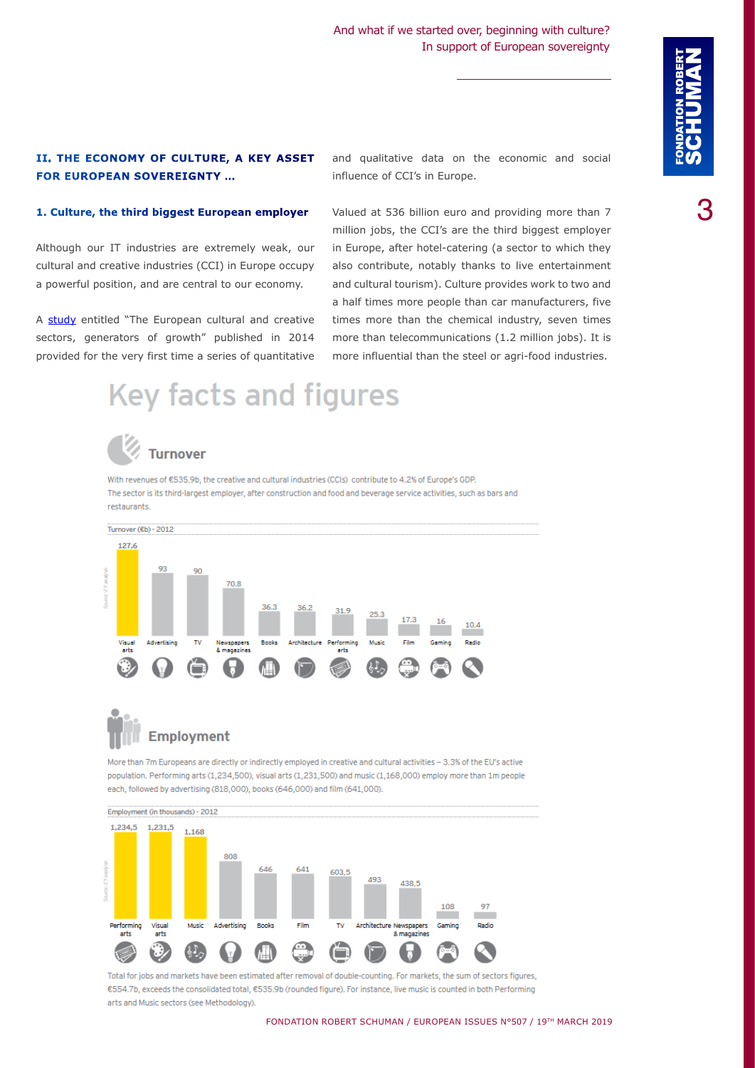### **II. THE ECONOMY OF CULTURE, A KEY ASSET FOR EUROPEAN SOVEREIGNTY …**

and qualitative data on the economic and social influence of CCI's in Europe.

#### **1. Culture, the third biggest European employer**

Although our IT industries are extremely weak, our cultural and creative industries (CCI) in Europe occupy a powerful position, and are central to our economy.

A [study](https://cultureveille.fr/secteurs-culturels-croissance-europe/) entitled "The European cultural and creative sectors, generators of growth" published in 2014 provided for the very first time a series of quantitative Valued at 536 billion euro and providing more than 7 million jobs, the CCI's are the third biggest employer in Europe, after hotel-catering (a sector to which they also contribute, notably thanks to live entertainment and cultural tourism). Culture provides work to two and a half times more people than car manufacturers, five times more than the chemical industry, seven times more than telecommunications (1.2 million jobs). It is more influential than the steel or agri-food industries.

# **Key facts and figures**



# **Turnover**

With revenues of €535.9b, the creative and cultural industries (CCIs) contribute to 4.2% of Europe's GDP. The sector is its third-largest employer, after construction and food and beverage service activities, such as bars and restaurants.



# **Employment**

More than 7m Europeans are directly or indirectly employed in creative and cultural activities - 3.3% of the EU's active population. Performing arts (1,234,500), visual arts (1,231,500) and music (1,168,000) employ more than 1m people each, followed by advertising (818,000), books (646,000) and film (641,000).



Total for jobs and markets have been estimated after removal of double-counting. For markets, the sum of sectors figures, €554.7b, exceeds the consolidated total, €535.9b (rounded figure). For instance, live music is counted in both Performing arts and Music sectors (see Methodology).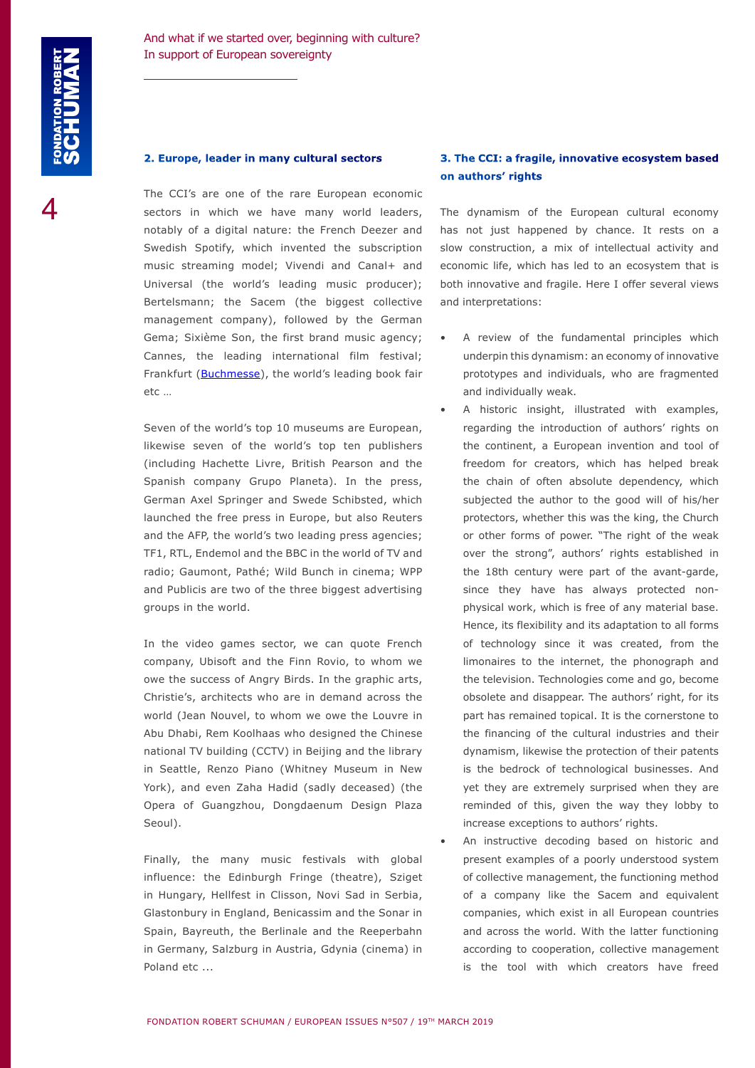#### **2. Europe, leader in many cultural sectors**

The CCI's are one of the rare European economic sectors in which we have many world leaders, notably of a digital nature: the French Deezer and Swedish Spotify, which invented the subscription music streaming model; Vivendi and Canal+ and Universal (the world's leading music producer); Bertelsmann; the Sacem (the biggest collective management company), followed by the German Gema; Sixième Son, the first brand music agency; Cannes, the leading international film festival; Frankfurt [\(Buchmesse](https://www.buchmesse.de/en)), the world's leading book fair etc …

Seven of the world's top 10 museums are European, likewise seven of the world's top ten publishers (including Hachette Livre, British Pearson and the Spanish company Grupo Planeta). In the press, German Axel Springer and Swede Schibsted, which launched the free press in Europe, but also Reuters and the AFP, the world's two leading press agencies; TF1, RTL, Endemol and the BBC in the world of TV and radio; Gaumont, Pathé; Wild Bunch in cinema; WPP and Publicis are two of the three biggest advertising groups in the world.

In the video games sector, we can quote French company, Ubisoft and the Finn Rovio, to whom we owe the success of Angry Birds. In the graphic arts, Christie's, architects who are in demand across the world (Jean Nouvel, to whom we owe the Louvre in Abu Dhabi, Rem Koolhaas who designed the Chinese national TV building (CCTV) in Beijing and the library in Seattle, Renzo Piano (Whitney Museum in New York), and even Zaha Hadid (sadly deceased) (the Opera of Guangzhou, Dongdaenum Design Plaza Seoul).

Finally, the many music festivals with global influence: the Edinburgh Fringe (theatre), Sziget in Hungary, Hellfest in Clisson, Novi Sad in Serbia, Glastonbury in England, Benicassim and the Sonar in Spain, Bayreuth, the Berlinale and the Reeperbahn in Germany, Salzburg in Austria, Gdynia (cinema) in Poland etc ...

## **3. The CCI: a fragile, innovative ecosystem based on authors' rights**

The dynamism of the European cultural economy has not just happened by chance. It rests on a slow construction, a mix of intellectual activity and economic life, which has led to an ecosystem that is both innovative and fragile. Here I offer several views and interpretations:

- A review of the fundamental principles which underpin this dynamism: an economy of innovative prototypes and individuals, who are fragmented and individually weak.
- A historic insight, illustrated with examples, regarding the introduction of authors' rights on the continent, a European invention and tool of freedom for creators, which has helped break the chain of often absolute dependency, which subjected the author to the good will of his/her protectors, whether this was the king, the Church or other forms of power. "The right of the weak over the strong", authors' rights established in the 18th century were part of the avant-garde, since they have has always protected nonphysical work, which is free of any material base. Hence, its flexibility and its adaptation to all forms of technology since it was created, from the limonaires to the internet, the phonograph and the television. Technologies come and go, become obsolete and disappear. The authors' right, for its part has remained topical. It is the cornerstone to the financing of the cultural industries and their dynamism, likewise the protection of their patents is the bedrock of technological businesses. And yet they are extremely surprised when they are reminded of this, given the way they lobby to increase exceptions to authors' rights.
- An instructive decoding based on historic and present examples of a poorly understood system of collective management, the functioning method of a company like the Sacem and equivalent companies, which exist in all European countries and across the world. With the latter functioning according to cooperation, collective management is the tool with which creators have freed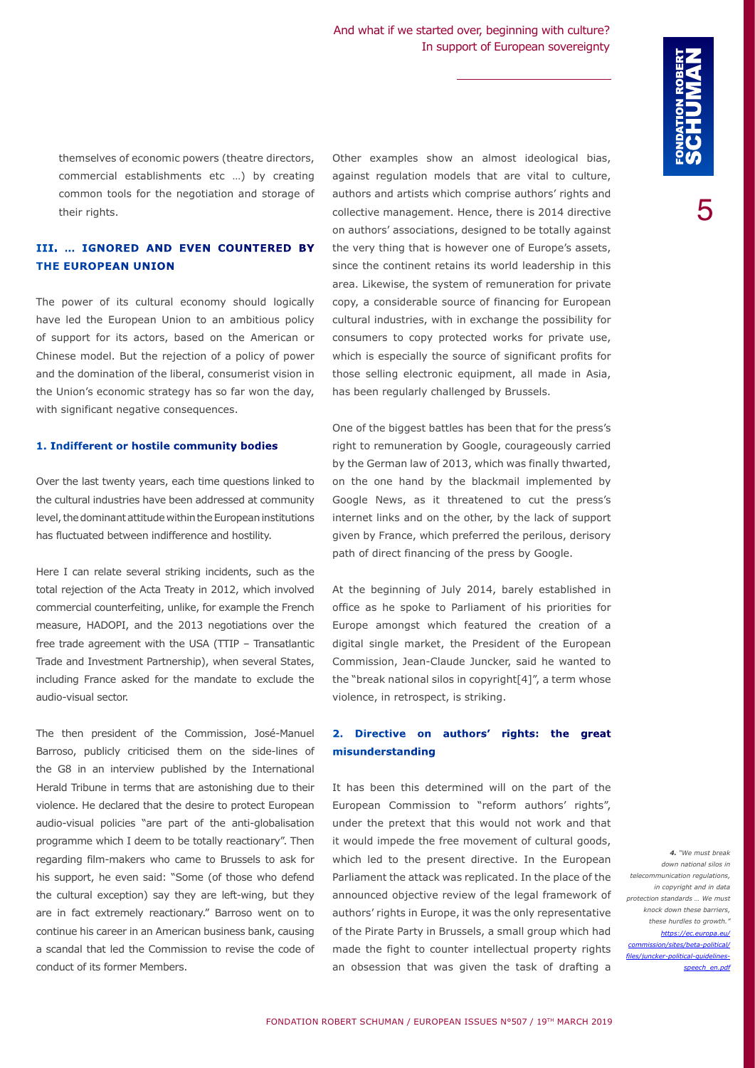themselves of economic powers (theatre directors, commercial establishments etc …) by creating common tools for the negotiation and storage of their rights.

### **III. … IGNORED AND EVEN COUNTERED BY THE EUROPEAN UNION**

The power of its cultural economy should logically have led the European Union to an ambitious policy of support for its actors, based on the American or Chinese model. But the rejection of a policy of power and the domination of the liberal, consumerist vision in the Union's economic strategy has so far won the day, with significant negative consequences.

#### **1. Indifferent or hostile community bodies**

Over the last twenty years, each time questions linked to the cultural industries have been addressed at community level, the dominant attitude within the European institutions has fluctuated between indifference and hostility.

Here I can relate several striking incidents, such as the total rejection of the Acta Treaty in 2012, which involved commercial counterfeiting, unlike, for example the French measure, HADOPI, and the 2013 negotiations over the free trade agreement with the USA (TTIP – Transatlantic Trade and Investment Partnership), when several States, including France asked for the mandate to exclude the audio-visual sector.

The then president of the Commission, José-Manuel Barroso, publicly criticised them on the side-lines of the G8 in an interview published by the International Herald Tribune in terms that are astonishing due to their violence. He declared that the desire to protect European audio-visual policies "are part of the anti-globalisation programme which I deem to be totally reactionary". Then regarding film-makers who came to Brussels to ask for his support, he even said: "Some (of those who defend the cultural exception) say they are left-wing, but they are in fact extremely reactionary." Barroso went on to continue his career in an American business bank, causing a scandal that led the Commission to revise the code of conduct of its former Members.

Other examples show an almost ideological bias, against regulation models that are vital to culture, authors and artists which comprise authors' rights and collective management. Hence, there is 2014 directive on authors' associations, designed to be totally against the very thing that is however one of Europe's assets, since the continent retains its world leadership in this area. Likewise, the system of remuneration for private copy, a considerable source of financing for European cultural industries, with in exchange the possibility for consumers to copy protected works for private use, which is especially the source of significant profits for those selling electronic equipment, all made in Asia, has been regularly challenged by Brussels.

One of the biggest battles has been that for the press's right to remuneration by Google, courageously carried by the German law of 2013, which was finally thwarted, on the one hand by the blackmail implemented by Google News, as it threatened to cut the press's internet links and on the other, by the lack of support given by France, which preferred the perilous, derisory path of direct financing of the press by Google.

At the beginning of July 2014, barely established in office as he spoke to Parliament of his priorities for Europe amongst which featured the creation of a digital single market, the President of the European Commission, Jean-Claude Juncker, said he wanted to the "break national silos in copyright[4]", a term whose violence, in retrospect, is striking.

### **2. Directive on authors' rights: the great misunderstanding**

It has been this determined will on the part of the European Commission to "reform authors' rights", under the pretext that this would not work and that it would impede the free movement of cultural goods, which led to the present directive. In the European Parliament the attack was replicated. In the place of the announced objective review of the legal framework of authors' rights in Europe, it was the only representative of the Pirate Party in Brussels, a small group which had made the fight to counter intellectual property rights an obsession that was given the task of drafting a

*4. "We must break down national silos in telecommunication regulations, in copyright and in data protection standards … We must knock down these barriers, these hurdles to growth." https://ec.euro commission/sites/beta-political/ files/juncker-political-guidelinesspeech\_en.pdf*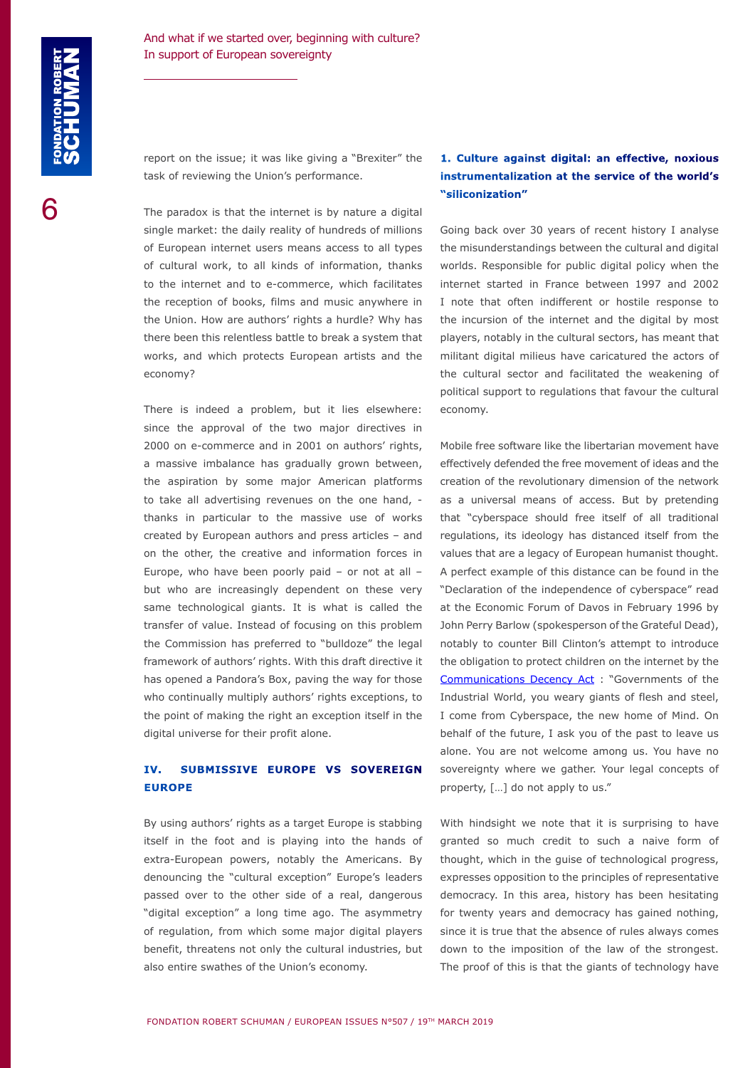report on the issue; it was like giving a "Brexiter" the task of reviewing the Union's performance.

The paradox is that the internet is by nature a digital single market: the daily reality of hundreds of millions of European internet users means access to all types of cultural work, to all kinds of information, thanks to the internet and to e-commerce, which facilitates the reception of books, films and music anywhere in the Union. How are authors' rights a hurdle? Why has there been this relentless battle to break a system that works, and which protects European artists and the economy?

There is indeed a problem, but it lies elsewhere: since the approval of the two major directives in 2000 on e-commerce and in 2001 on authors' rights, a massive imbalance has gradually grown between, the aspiration by some major American platforms to take all advertising revenues on the one hand, thanks in particular to the massive use of works created by European authors and press articles – and on the other, the creative and information forces in Europe, who have been poorly paid – or not at all – but who are increasingly dependent on these very same technological giants. It is what is called the transfer of value. Instead of focusing on this problem the Commission has preferred to "bulldoze" the legal framework of authors' rights. With this draft directive it has opened a Pandora's Box, paving the way for those who continually multiply authors' rights exceptions, to the point of making the right an exception itself in the digital universe for their profit alone.

## **IV. SUBMISSIVE EUROPE VS SOVEREIGN EUROPE**

By using authors' rights as a target Europe is stabbing itself in the foot and is playing into the hands of extra-European powers, notably the Americans. By denouncing the "cultural exception" Europe's leaders passed over to the other side of a real, dangerous "digital exception" a long time ago. The asymmetry of regulation, from which some major digital players benefit, threatens not only the cultural industries, but also entire swathes of the Union's economy.

# **1. Culture against digital: an effective, noxious instrumentalization at the service of the world's "siliconization"**

Going back over 30 years of recent history I analyse the misunderstandings between the cultural and digital worlds. Responsible for public digital policy when the internet started in France between 1997 and 2002 I note that often indifferent or hostile response to the incursion of the internet and the digital by most players, notably in the cultural sectors, has meant that militant digital milieus have caricatured the actors of the cultural sector and facilitated the weakening of political support to regulations that favour the cultural economy.

Mobile free software like the libertarian movement have effectively defended the free movement of ideas and the creation of the revolutionary dimension of the network as a universal means of access. But by pretending that "cyberspace should free itself of all traditional regulations, its ideology has distanced itself from the values that are a legacy of European humanist thought. A perfect example of this distance can be found in the "Declaration of the independence of cyberspace" read at the Economic Forum of Davos in February 1996 by John Perry Barlow (spokesperson of the Grateful Dead), notably to counter Bill Clinton's attempt to introduce the obligation to protect children on the internet by the [Communications Decency Act](https://www.congress.gov/104/bills/s314/BILLS-104s314is.pdf) : "Governments of the Industrial World, you weary giants of flesh and steel, I come from Cyberspace, the new home of Mind. On behalf of the future, I ask you of the past to leave us alone. You are not welcome among us. You have no sovereignty where we gather. Your legal concepts of property, […] do not apply to us."

With hindsight we note that it is surprising to have granted so much credit to such a naive form of thought, which in the guise of technological progress, expresses opposition to the principles of representative democracy. In this area, history has been hesitating for twenty years and democracy has gained nothing, since it is true that the absence of rules always comes down to the imposition of the law of the strongest. The proof of this is that the giants of technology have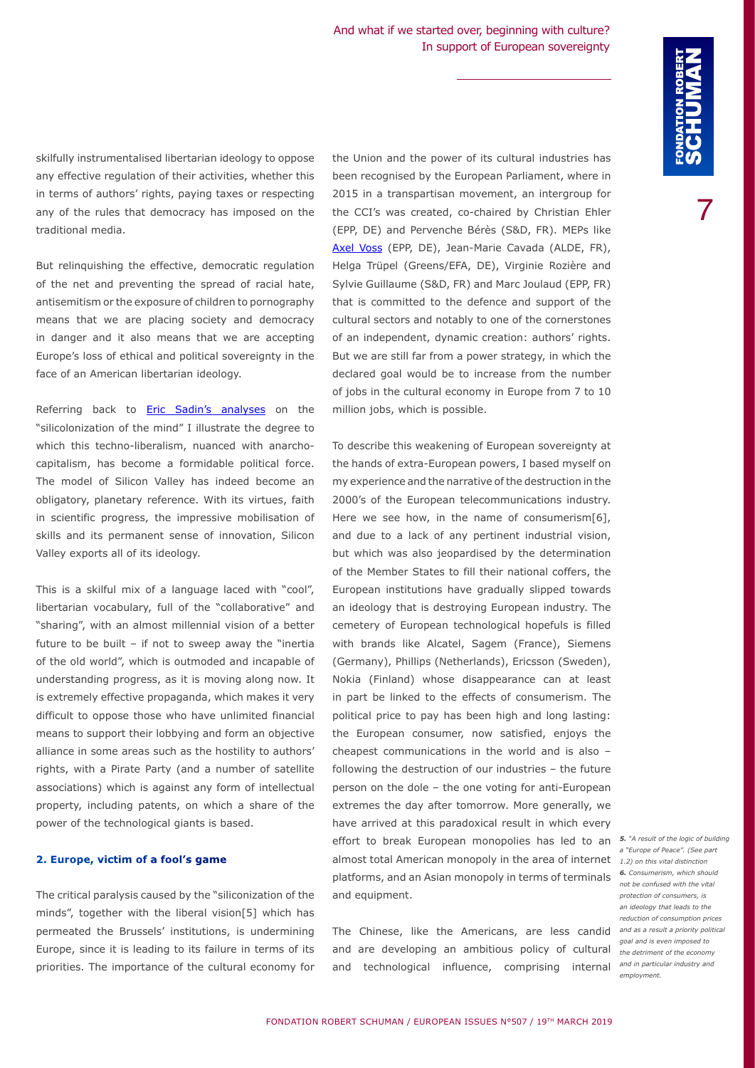skilfully instrumentalised libertarian ideology to oppose any effective regulation of their activities, whether this in terms of authors' rights, paying taxes or respecting any of the rules that democracy has imposed on the traditional media.

But relinquishing the effective, democratic regulation of the net and preventing the spread of racial hate, antisemitism or the exposure of children to pornography means that we are placing society and democracy in danger and it also means that we are accepting Europe's loss of ethical and political sovereignty in the face of an American libertarian ideology.

Referring back to **[Eric Sadin's analyses](http://www.lechappee.org/collections/pour-en-finir-avec/la-silicolonisation-du-monde)** on the "silicolonization of the mind" I illustrate the degree to which this techno-liberalism, nuanced with anarchocapitalism, has become a formidable political force. The model of Silicon Valley has indeed become an obligatory, planetary reference. With its virtues, faith in scientific progress, the impressive mobilisation of skills and its permanent sense of innovation, Silicon Valley exports all of its ideology.

This is a skilful mix of a language laced with "cool", libertarian vocabulary, full of the "collaborative" and "sharing", with an almost millennial vision of a better future to be built – if not to sweep away the "inertia of the old world", which is outmoded and incapable of understanding progress, as it is moving along now. It is extremely effective propaganda, which makes it very difficult to oppose those who have unlimited financial means to support their lobbying and form an objective alliance in some areas such as the hostility to authors' rights, with a Pirate Party (and a number of satellite associations) which is against any form of intellectual property, including patents, on which a share of the power of the technological giants is based.

#### **2. Europe, victim of a fool's game**

The critical paralysis caused by the "siliconization of the minds", together with the liberal vision[5] which has permeated the Brussels' institutions, is undermining Europe, since it is leading to its failure in terms of its priorities. The importance of the cultural economy for

the Union and the power of its cultural industries has been recognised by the European Parliament, where in 2015 in a transpartisan movement, an intergroup for the CCI's was created, co-chaired by Christian Ehler (EPP, DE) and Pervenche Bérès (S&D, FR). MEPs like [Axel Voss](https://www.robert-schuman.eu/en/doc/questions-d-europe/qe-492-en.pdf) (EPP, DE), Jean-Marie Cavada (ALDE, FR), Helga Trüpel (Greens/EFA, DE), Virginie Rozière and Sylvie Guillaume (S&D, FR) and Marc Joulaud (EPP, FR) that is committed to the defence and support of the cultural sectors and notably to one of the cornerstones of an independent, dynamic creation: authors' rights. But we are still far from a power strategy, in which the declared goal would be to increase from the number of jobs in the cultural economy in Europe from 7 to 10 million jobs, which is possible.

To describe this weakening of European sovereignty at the hands of extra-European powers, I based myself on my experience and the narrative of the destruction in the 2000's of the European telecommunications industry. Here we see how, in the name of consumerism[6], and due to a lack of any pertinent industrial vision, but which was also jeopardised by the determination of the Member States to fill their national coffers, the European institutions have gradually slipped towards an ideology that is destroying European industry. The cemetery of European technological hopefuls is filled with brands like Alcatel, Sagem (France), Siemens (Germany), Phillips (Netherlands), Ericsson (Sweden), Nokia (Finland) whose disappearance can at least in part be linked to the effects of consumerism. The political price to pay has been high and long lasting: the European consumer, now satisfied, enjoys the cheapest communications in the world and is also – following the destruction of our industries – the future person on the dole – the one voting for anti-European extremes the day after tomorrow. More generally, we have arrived at this paradoxical result in which every effort to break European monopolies has led to an *5. "A result of the logic of building*  almost total American monopoly in the area of internet *1.2) on this vital distinction* platforms, and an Asian monopoly in terms of terminals and equipment.

The Chinese, like the Americans, are less candid *and as a result a priority political*  and are developing an ambitious policy of cultural *the detriment of the economy*  and technological influence, comprising internal *and in particular industry and* 

*a "Europe of Peace". (See part 6. Consumerism, which should not be confused with the vital protection of consumers, is an ideology that leads to the reduction of consumption prices goal and is even imposed to employment.*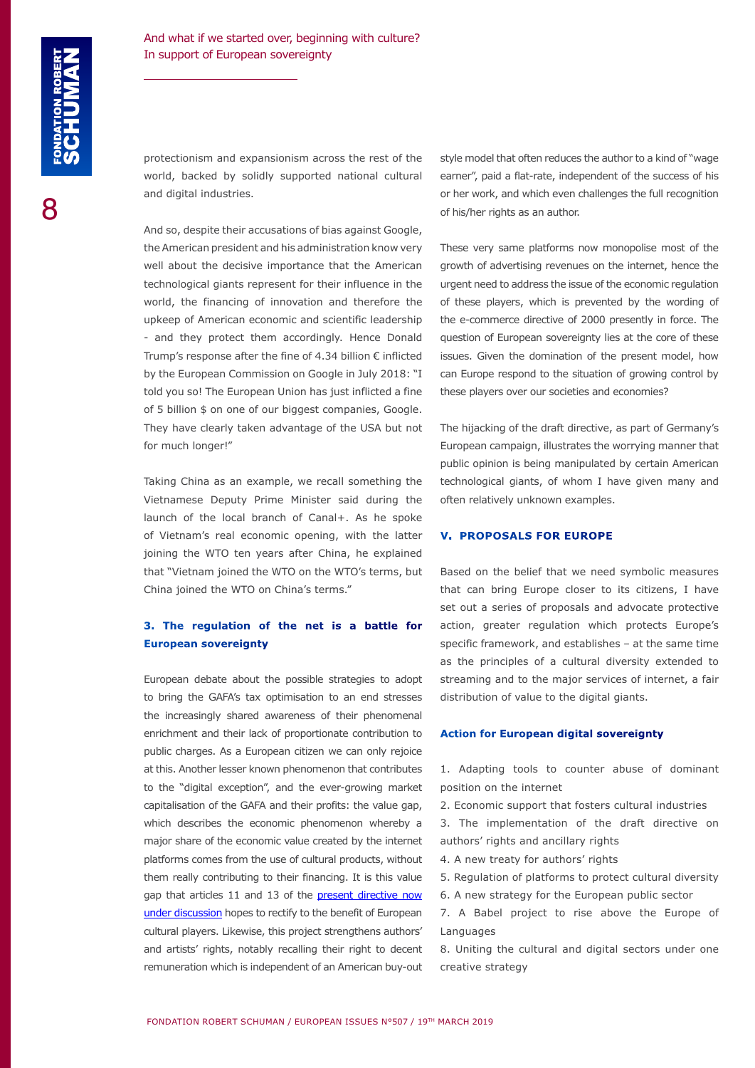protectionism and expansionism across the rest of the world, backed by solidly supported national cultural and digital industries.

And so, despite their accusations of bias against Google, the American president and his administration know very well about the decisive importance that the American technological giants represent for their influence in the world, the financing of innovation and therefore the upkeep of American economic and scientific leadership - and they protect them accordingly. Hence Donald Trump's response after the fine of 4.34 billion € inflicted by the European Commission on Google in July 2018: "I told you so! The European Union has just inflicted a fine of 5 billion \$ on one of our biggest companies, Google. They have clearly taken advantage of the USA but not for much longer!"

Taking China as an example, we recall something the Vietnamese Deputy Prime Minister said during the launch of the local branch of Canal+. As he spoke of Vietnam's real economic opening, with the latter joining the WTO ten years after China, he explained that "Vietnam joined the WTO on the WTO's terms, but China joined the WTO on China's terms."

### **3. The regulation of the net is a battle for European sovereignty**

European debate about the possible strategies to adopt to bring the GAFA's tax optimisation to an end stresses the increasingly shared awareness of their phenomenal enrichment and their lack of proportionate contribution to public charges. As a European citizen we can only rejoice at this. Another lesser known phenomenon that contributes to the "digital exception", and the ever-growing market capitalisation of the GAFA and their profits: the value gap, which describes the economic phenomenon whereby a major share of the economic value created by the internet platforms comes from the use of cultural products, without them really contributing to their financing. It is this value gap that articles 11 and 13 of the [present directive now](https://eur-lex.europa.eu/legal-content/EN/TXT/PDF/?uri=CELEX:52016PC0593&from=EN) [under discussion](https://eur-lex.europa.eu/legal-content/EN/TXT/PDF/?uri=CELEX:52016PC0593&from=EN) hopes to rectify to the benefit of European cultural players. Likewise, this project strengthens authors' and artists' rights, notably recalling their right to decent remuneration which is independent of an American buy-out style model that often reduces the author to a kind of "wage earner", paid a flat-rate, independent of the success of his or her work, and which even challenges the full recognition of his/her rights as an author.

These very same platforms now monopolise most of the growth of advertising revenues on the internet, hence the urgent need to address the issue of the economic regulation of these players, which is prevented by the wording of the e-commerce directive of 2000 presently in force. The question of European sovereignty lies at the core of these issues. Given the domination of the present model, how can Europe respond to the situation of growing control by these players over our societies and economies?

The hijacking of the draft directive, as part of Germany's European campaign, illustrates the worrying manner that public opinion is being manipulated by certain American technological giants, of whom I have given many and often relatively unknown examples.

#### **V. PROPOSALS FOR EUROPE**

Based on the belief that we need symbolic measures that can bring Europe closer to its citizens, I have set out a series of proposals and advocate protective action, greater regulation which protects Europe's specific framework, and establishes – at the same time as the principles of a cultural diversity extended to streaming and to the major services of internet, a fair distribution of value to the digital giants.

#### **Action for European digital sovereignty**

1. Adapting tools to counter abuse of dominant position on the internet

- 2. Economic support that fosters cultural industries
- 3. The implementation of the draft directive on authors' rights and ancillary rights
- 4. A new treaty for authors' rights
- 5. Regulation of platforms to protect cultural diversity
- 6. A new strategy for the European public sector
- 7. A Babel project to rise above the Europe of Languages
- 8. Uniting the cultural and digital sectors under one creative strategy